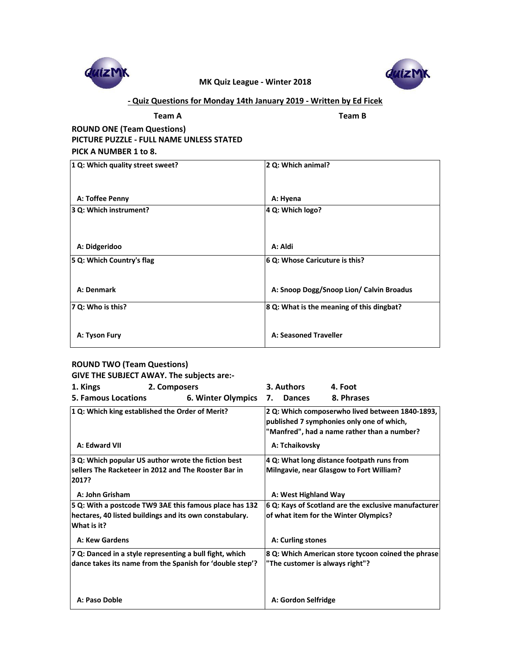**Team A Team B**

**ROUND ONE (Team Questions) PICTURE PUZZLE - FULL NAME UNLESS STATED** 

| 1 Q: Which quality street sweet? | 2 Q: Which animal?                        |
|----------------------------------|-------------------------------------------|
| A: Toffee Penny                  | A: Hyena                                  |
| 3 Q: Which instrument?           | 4 Q: Which logo?                          |
| A: Didgeridoo                    | A: Aldi                                   |
| 5 Q: Which Country's flag        | 6 Q: Whose Caricuture is this?            |
| A: Denmark                       | A: Snoop Dogg/Snoop Lion/ Calvin Broadus  |
| $ 7 Q:$ Who is this?             | 8 Q: What is the meaning of this dingbat? |
| A: Tyson Fury                    | <b>A: Seasoned Traveller</b>              |

### **PICK A NUMBER 1 to 8.**

## **ROUND TWO (Team Questions)**

**GIVE THE SUBJECT AWAY. The subjects are:-**

| 1. Kings                                                               | 2. Composers              |    | 3. Authors           | 4. Foot                                                                                                                                     |
|------------------------------------------------------------------------|---------------------------|----|----------------------|---------------------------------------------------------------------------------------------------------------------------------------------|
| <b>5. Famous Locations</b>                                             | <b>6. Winter Olympics</b> | 7. | <b>Dances</b>        | 8. Phrases                                                                                                                                  |
| 1 Q: Which king established the Order of Merit?                        |                           |    |                      | 2 Q: Which composerwho lived between 1840-1893,<br>published 7 symphonies only one of which,<br>"Manfred", had a name rather than a number? |
| <b>A: Edward VII</b>                                                   |                           |    | A: Tchaikovsky       |                                                                                                                                             |
| 3 Q: Which popular US author wrote the fiction best                    |                           |    |                      | 4 Q: What long distance footpath runs from                                                                                                  |
| sellers The Racketeer in 2012 and The Rooster Bar in<br>2017?          |                           |    |                      | <b>Milngavie, near Glasgow to Fort William?</b>                                                                                             |
| A: John Grisham                                                        |                           |    | A: West Highland Way |                                                                                                                                             |
| 5 Q: With a postcode TW9 3AE this famous place has 132                 |                           |    |                      | 6 Q: Kays of Scotland are the exclusive manufacturer                                                                                        |
| hectares, 40 listed buildings and its own constabulary.<br>What is it? |                           |    |                      | of what item for the Winter Olympics?                                                                                                       |
| <b>A: Kew Gardens</b>                                                  |                           |    | A: Curling stones    |                                                                                                                                             |
| 7 Q: Danced in a style representing a bull fight, which                |                           |    |                      | 8 Q: Which American store tycoon coined the phrase                                                                                          |
| dance takes its name from the Spanish for 'double step'?               |                           |    |                      | "The customer is always right"?                                                                                                             |
| A: Paso Doble                                                          |                           |    | A: Gordon Selfridge  |                                                                                                                                             |

## **- Quiz Questions for Monday 14th January 2019 - Written by Ed Ficek**



**MK Quiz League - Winter 2018**

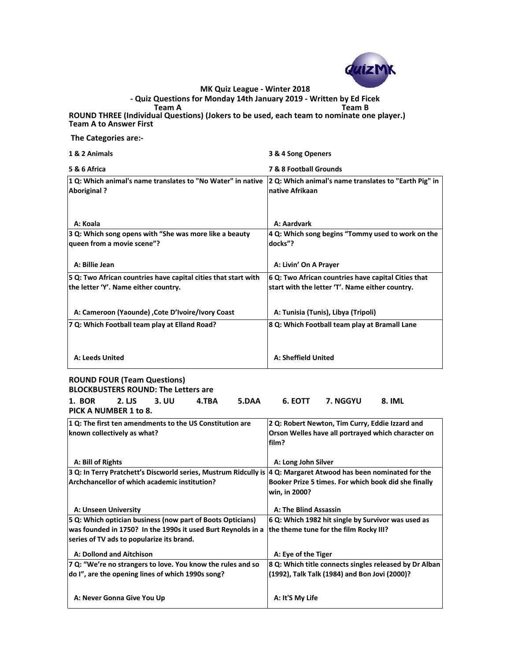**The Categories are:-**

**1 & 2 Animals 3 & 4 Song Openers**

**5 & 6 Africa 7 & 8 Football Grounds**

| 1 Q: Which animal's name translates to "No Water" in native<br><b>Aboriginal?</b> | 2 Q: Which animal's name translates to "Earth Pig" in<br>Inative Afrikaan |
|-----------------------------------------------------------------------------------|---------------------------------------------------------------------------|
|                                                                                   |                                                                           |
| A: Koala                                                                          | A: Aardvark                                                               |
| 3 Q: Which song opens with "She was more like a beauty                            | 4 Q: Which song begins "Tommy used to work on the                         |
| queen from a movie scene"?                                                        | docks"?                                                                   |
| A: Billie Jean                                                                    | A: Livin' On A Prayer                                                     |
| 5 Q: Two African countries have capital cities that start with                    | 6 Q: Two African countries have capital Cities that                       |
| the letter 'Y'. Name either country.                                              | start with the letter 'T'. Name either country.                           |
| A: Cameroon (Yaounde), Cote D'Ivoire/Ivory Coast                                  | A: Tunisia (Tunis), Libya (Tripoli)                                       |
| 7 Q: Which Football team play at Elland Road?                                     | 8 Q: Which Football team play at Bramall Lane                             |
| A: Leeds United                                                                   | <b>A: Sheffield United</b>                                                |
|                                                                                   |                                                                           |
| <b>ROUND FOUR (Team Questions)</b><br><b>BLOCKBUSTERS ROUND: The Letters are</b>  |                                                                           |
| <b>1. BOR</b><br>$2. \overline{2}$<br><b>3. UU</b><br>5.DAA<br>4.TBA              | 6. EOTT<br>7. NGGYU<br><b>8. IML</b>                                      |
| PICK A NUMBER 1 to 8.                                                             |                                                                           |

**Team A Team B ROUND THREE (Individual Questions) (Jokers to be used, each team to nominate one player.) Team A to Answer First - Quiz Questions for Monday 14th January 2019 - Written by Ed Ficek**

| 1 Q: The first ten amendments to the US Constitution are | 2 Q: Robert Newton, Tim Curry, Eddie Izzard and           |
|----------------------------------------------------------|-----------------------------------------------------------|
| known collectively as what?                              | <b>Orson Welles have all portrayed which character on</b> |

|                                                                                                                    | on wenes nave an portrayea which charact               |
|--------------------------------------------------------------------------------------------------------------------|--------------------------------------------------------|
|                                                                                                                    | film?                                                  |
| A: Bill of Rights                                                                                                  | A: Long John Silver                                    |
| 3 Q: In Terry Pratchett's Discworld series, Mustrum Ridcully is $ 4$ Q: Margaret Atwood has been nominated for the |                                                        |
| Archchancellor of which academic institution?                                                                      | Booker Prize 5 times. For which book did she finally   |
|                                                                                                                    | win, in 2000?                                          |
| <b>A: Unseen University</b>                                                                                        | <b>A: The Blind Assassin</b>                           |
| 5 Q: Which optician business (now part of Boots Opticians)                                                         | 6 Q: Which 1982 hit single by Survivor was used as     |
| was founded in 1750? In the 1990s it used Burt Reynolds in a                                                       | the theme tune for the film Rocky III?                 |
| series of TV ads to popularize its brand.                                                                          |                                                        |
| <b>A: Dollond and Aitchison</b>                                                                                    | A: Eye of the Tiger                                    |
| 7 Q: "We're no strangers to love. You know the rules and so                                                        | 8 Q: Which title connects singles released by Dr Alban |
| do I", are the opening lines of which 1990s song?                                                                  | (1992), Talk Talk (1984) and Bon Jovi (2000)?          |
|                                                                                                                    |                                                        |
| A: Never Gonna Give You Up                                                                                         | A: It'S My Life                                        |



**MK Quiz League - Winter 2018**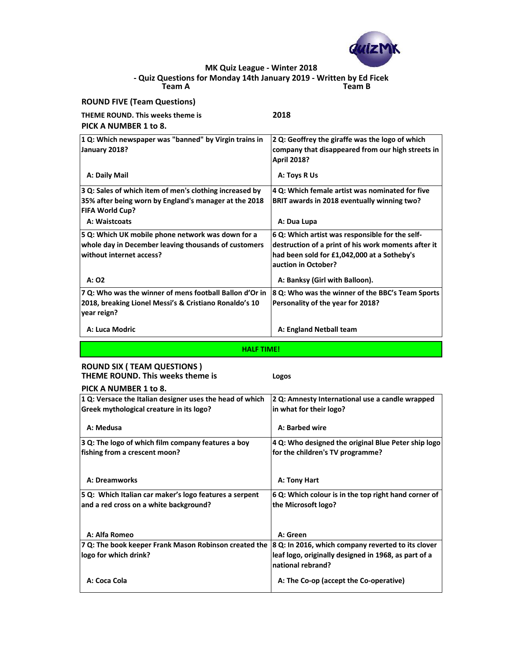| PICK A NUMBER 1 to 8.                   |      |
|-----------------------------------------|------|
| <b>THEME ROUND. This weeks theme is</b> | 2018 |
| <b>ROUND FIVE (Team Questions)</b>      |      |

| 1 Q: Which newspaper was "banned" by Virgin trains in<br>January 2018?                                                                     | 2 Q: Geoffrey the giraffe was the logo of which<br>company that disappeared from our high streets in<br><b>April 2018?</b>                                                   |
|--------------------------------------------------------------------------------------------------------------------------------------------|------------------------------------------------------------------------------------------------------------------------------------------------------------------------------|
| A: Daily Mail                                                                                                                              | A: Toys R Us                                                                                                                                                                 |
| 3 Q: Sales of which item of men's clothing increased by<br>35% after being worn by England's manager at the 2018<br><b>FIFA World Cup?</b> | 4 Q: Which female artist was nominated for five<br><b>BRIT awards in 2018 eventually winning two?</b>                                                                        |
| A: Waistcoats                                                                                                                              | A: Dua Lupa                                                                                                                                                                  |
| 5 Q: Which UK mobile phone network was down for a<br>whole day in December leaving thousands of customers<br>without internet access?      | 6 Q: Which artist was responsible for the self-<br>destruction of a print of his work moments after it<br>had been sold for £1,042,000 at a Sotheby's<br>auction in October? |
| A: 02                                                                                                                                      | A: Banksy (Girl with Balloon).                                                                                                                                               |
| 7 Q: Who was the winner of mens football Ballon d'Or in<br>2018, breaking Lionel Messi's & Cristiano Ronaldo's 10<br>year reign?           | 8 Q: Who was the winner of the BBC's Team Sports<br>Personality of the year for 2018?                                                                                        |
| A: Luca Modric                                                                                                                             | A: England Netball team                                                                                                                                                      |

**Team A Team B - Quiz Questions for Monday 14th January 2019 - Written by Ed Ficek**

| <b>ROUND SIX ( TEAM QUESTIONS )</b> |  |
|-------------------------------------|--|
|                                     |  |

**THEME ROUND. This weeks theme is Logos PICK A NUMBER 1 to 8. 1 Q: Versace the Italian designer uses the head of which Greek mythological creature in its logo? 2 Q: Amnesty International use a candle wrapped in what for their logo?** A: Medusa **A: Medusa** A: Medusa **A: Barbed wire 3 Q: The logo of which film company features a boy 4 Q: Who designed the original Blue Peter ship logo** 

| 3 Q. The logo of which him company reatures a boy<br>fishing from a crescent moon?               | $\mathbf{u}$ $\mathbf{Q}$ . Write designed the original blue fetti ship logo $\mathbf{u}$<br>for the children's TV programme?   |
|--------------------------------------------------------------------------------------------------|---------------------------------------------------------------------------------------------------------------------------------|
| <b>A: Dreamworks</b>                                                                             | A: Tony Hart                                                                                                                    |
| 5 Q: Which Italian car maker's logo features a serpent<br>and a red cross on a white background? | 6 Q: Which colour is in the top right hand corner of<br>the Microsoft logo?                                                     |
| A: Alfa Romeo                                                                                    | A: Green                                                                                                                        |
| 7 Q: The book keeper Frank Mason Robinson created the<br>logo for which drink?                   | 8 Q: In 2016, which company reverted to its clover<br>leaf logo, originally designed in 1968, as part of a<br>national rebrand? |
| A: Coca Cola                                                                                     | A: The Co-op (accept the Co-operative)                                                                                          |



**MK Quiz League - Winter 2018**

**HALF TIME!**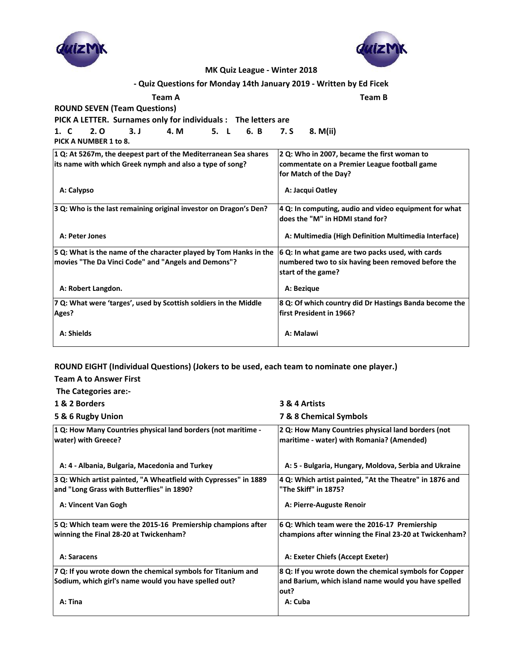# **ROUND EIGHT (Individual Questions) (Jokers to be used, each team to nominate one player.)**

| <b>MK Quiz League - Winter 2018</b>                                       |                                                                                              |
|---------------------------------------------------------------------------|----------------------------------------------------------------------------------------------|
| - Quiz Questions for Monday 14th January 2019 - Written by Ed Ficek       |                                                                                              |
| <b>Team A</b>                                                             | <b>Team B</b>                                                                                |
| <b>ROUND SEVEN (Team Questions)</b>                                       |                                                                                              |
| PICK A LETTER. Surnames only for individuals : The letters are            |                                                                                              |
| 5. L 6. B 7. S<br>4. M<br>1. C<br>2. 0<br>3. J                            | 8. M(ii)                                                                                     |
| PICK A NUMBER 1 to 8.                                                     |                                                                                              |
| 1 Q: At 5267m, the deepest part of the Mediterranean Sea shares           | 2 Q: Who in 2007, became the first woman to                                                  |
| its name with which Greek nymph and also a type of song?                  | commentate on a Premier League football game                                                 |
|                                                                           | for Match of the Day?                                                                        |
| A: Calypso                                                                | A: Jacqui Oatley                                                                             |
| 3 Q: Who is the last remaining original investor on Dragon's Den?         | $ 4 Q$ : In computing, audio and video equipment for what<br>does the "M" in HDMI stand for? |
| A: Peter Jones                                                            | A: Multimedia (High Definition Multimedia Interface)                                         |
| 5 Q: What is the name of the character played by Tom Hanks in the         | $\vert$ 6 Q: In what game are two packs used, with cards                                     |
| movies "The Da Vinci Code" and "Angels and Demons"?                       | numbered two to six having been removed before the<br>start of the game?                     |
| A: Robert Langdon.                                                        | A: Bezique                                                                                   |
| 7 Q: What were 'targes', used by Scottish soldiers in the Middle<br>Ages? | 8 Q: Of which country did Dr Hastings Banda become the<br>first President in 1966?           |
| A: Shields                                                                | A: Malawi                                                                                    |

# **Team A to Answer First**

| The Categories are:-                                          |                                                    |
|---------------------------------------------------------------|----------------------------------------------------|
| 1 & 2 Borders                                                 | 3 & 4 Artists                                      |
| 5 & 6 Rugby Union                                             | <b>7 &amp; 8 Chemical Symbols</b>                  |
| 1 Q: How Many Countries physical land borders (not maritime - | 2 Q: How Many Countries physical land borders (not |
| <b>water) with Greece?</b>                                    | maritime - water) with Romania? (Amended)          |

| A: 4 - Albania, Bulgaria, Macedonia and Turkey                                                                 | A: 5 - Bulgaria, Hungary, Moldova, Serbia and Ukraine                                                  |
|----------------------------------------------------------------------------------------------------------------|--------------------------------------------------------------------------------------------------------|
| 3 Q: Which artist painted, "A Wheatfield with Cypresses" in 1889<br>and "Long Grass with Butterflies" in 1890? | 4 Q: Which artist painted, "At the Theatre" in 1876 and<br>"The Skiff" in 1875?                        |
| A: Vincent Van Gogh                                                                                            | A: Pierre-Auguste Renoir                                                                               |
| 5 Q: Which team were the 2015-16 Premiership champions after<br>winning the Final 28-20 at Twickenham?         | 6 Q: Which team were the 2016-17 Premiership<br>champions after winning the Final 23-20 at Twickenham? |
| A: Saracens                                                                                                    | A: Exeter Chiefs (Accept Exeter)                                                                       |
| 7 Q: If you wrote down the chemical symbols for Titanium and                                                   | 8 Q: If you wrote down the chemical symbols for Copper                                                 |
| Sodium, which girl's name would you have spelled out?                                                          | and Barium, which island name would you have spelled<br>lout?                                          |
| A: Tina                                                                                                        | A: Cuba                                                                                                |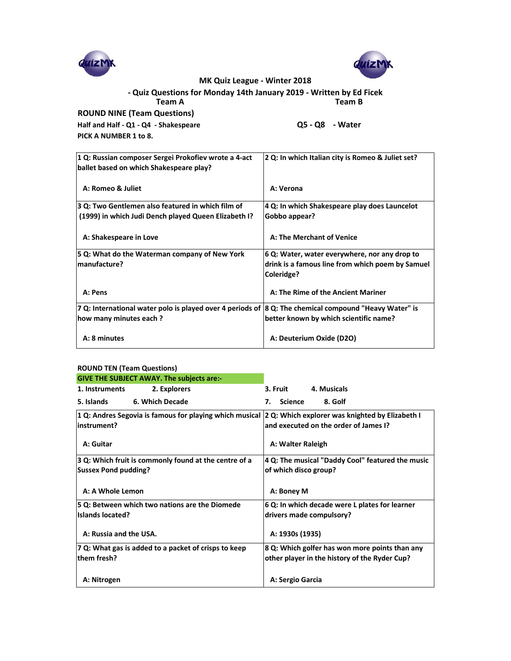| 1 Q: Russian composer Sergei Prokofiev wrote a 4-act<br>ballet based on which Shakespeare play?       | 2 Q: In which Italian city is Romeo & Juliet set?              |  |  |
|-------------------------------------------------------------------------------------------------------|----------------------------------------------------------------|--|--|
| A: Romeo & Juliet                                                                                     | A: Verona                                                      |  |  |
| 3 Q: Two Gentlemen also featured in which film of                                                     | 4 Q: In which Shakespeare play does Launcelot                  |  |  |
| (1999) in which Judi Dench played Queen Elizabeth I?                                                  | Gobbo appear?                                                  |  |  |
| A: Shakespeare in Love                                                                                | A: The Merchant of Venice                                      |  |  |
| 5 Q: What do the Waterman company of New York                                                         | 6 Q: Water, water everywhere, nor any drop to                  |  |  |
| manufacture?                                                                                          | drink is a famous line from which poem by Samuel<br>Coleridge? |  |  |
| A: Pens                                                                                               | A: The Rime of the Ancient Mariner                             |  |  |
| 7 Q: International water polo is played over 4 periods of 8 Q: The chemical compound "Heavy Water" is |                                                                |  |  |
| how many minutes each?                                                                                | better known by which scientific name?                         |  |  |
| A: 8 minutes                                                                                          | A: Deuterium Oxide (D2O)                                       |  |  |

#### **ROUND TEN (Team Questions)**

|                                       | MK Quiz League - Winter 2018                                        |
|---------------------------------------|---------------------------------------------------------------------|
|                                       | - Quiz Questions for Monday 14th January 2019 - Written by Ed Ficek |
| <b>Team A</b>                         | <b>Team B</b>                                                       |
| <b>ROUND NINE (Team Questions)</b>    |                                                                     |
| Half and Half - Q1 - Q4 - Shakespeare | $Q5 - Q8 - Water$                                                   |
| PICK A NUMBER 1 to 8.                 |                                                                     |

| ROUND TEN (Team Questions) |                                                                                                             |          |                                          |                                       |
|----------------------------|-------------------------------------------------------------------------------------------------------------|----------|------------------------------------------|---------------------------------------|
|                            | <b>GIVE THE SUBJECT AWAY. The subjects are:-</b>                                                            |          |                                          |                                       |
| 1. Instruments             | 2. Explorers                                                                                                | 3. Fruit |                                          | 4. Musicals                           |
| 5. Islands                 | <b>6. Which Decade</b>                                                                                      | 7.       | <b>Science</b>                           | 8. Golf                               |
|                            | 1 Q: Andres Segovia is famous for playing which musical $ 2 Q$ : Which explorer was knighted by Elizabeth I |          |                                          |                                       |
| linstrument?               |                                                                                                             |          |                                          | and executed on the order of James I? |
|                            |                                                                                                             |          | $A = 141$ . Let $A = 1111$ . Let $A = 1$ |                                       |

| A: Guitar                                                                            | A: Walter Raleigh                                                         |  |
|--------------------------------------------------------------------------------------|---------------------------------------------------------------------------|--|
| 3 Q: Which fruit is commonly found at the centre of a<br><b>Sussex Pond pudding?</b> | 4 Q: The musical "Daddy Cool" featured the music<br>of which disco group? |  |
|                                                                                      |                                                                           |  |
| A: A Whole Lemon                                                                     | A: Boney M                                                                |  |
| 5 Q: Between which two nations are the Diomede                                       | 6 Q: In which decade were L plates for learner                            |  |
| <b>Islands located?</b>                                                              | drivers made compulsory?                                                  |  |
| A: Russia and the USA.                                                               | A: 1930s (1935)                                                           |  |
| 7 Q: What gas is added to a packet of crisps to keep                                 | 8 Q: Which golfer has won more points than any                            |  |
| them fresh?                                                                          | other player in the history of the Ryder Cup?                             |  |
| A: Nitrogen                                                                          | A: Sergio Garcia                                                          |  |